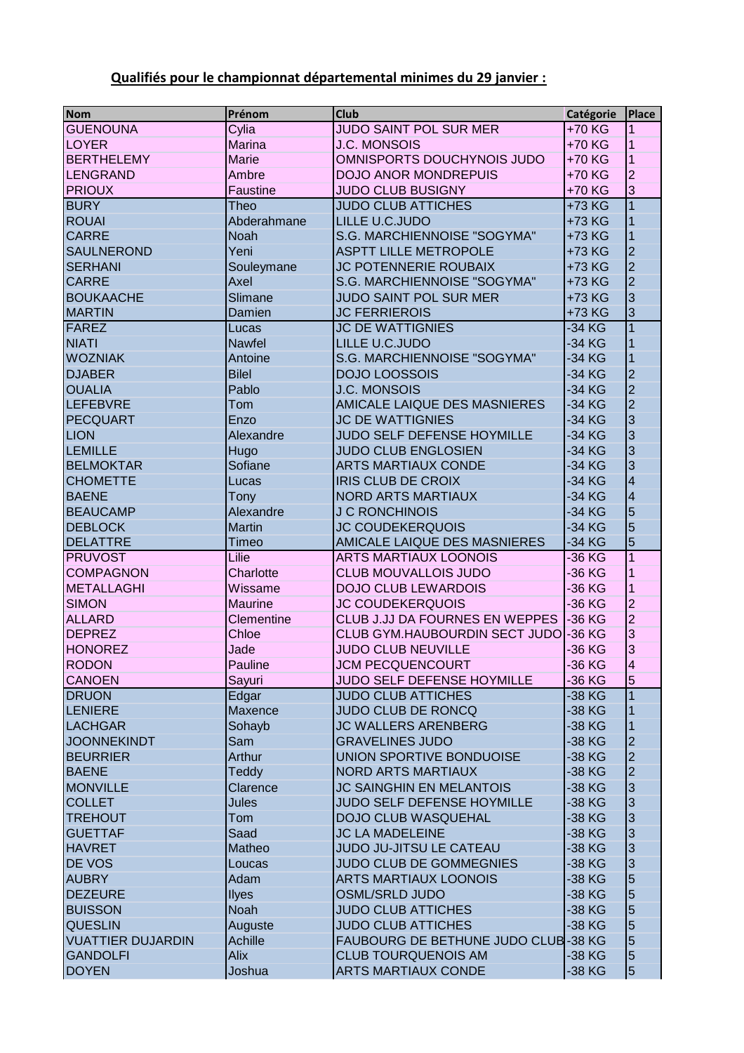## **Qualifiés pour le championnat départemental minimes du 29 janvier :**

| <b>Nom</b>               | Prénom            | <b>Club</b>                         | Catégorie | <b>Place</b>            |
|--------------------------|-------------------|-------------------------------------|-----------|-------------------------|
| <b>GUENOUNA</b>          | Cylia             | <b>JUDO SAINT POL SUR MER</b>       | +70 KG    | 1                       |
| <b>LOYER</b>             | <b>Marina</b>     | <b>J.C. MONSOIS</b>                 | +70 KG    | 1                       |
| <b>BERTHELEMY</b>        | <b>Marie</b>      | OMNISPORTS DOUCHYNOIS JUDO          | +70 KG    | 1                       |
| <b>LENGRAND</b>          | Ambre             | <b>DOJO ANOR MONDREPUIS</b>         | +70 KG    | $\overline{2}$          |
| <b>PRIOUX</b>            | Faustine          | <b>JUDO CLUB BUSIGNY</b>            | +70 KG    | $\overline{3}$          |
| <b>BURY</b>              | Theo              | <b>JUDO CLUB ATTICHES</b>           | +73 KG    |                         |
| <b>ROUAI</b>             | Abderahmane       | LILLE U.C.JUDO                      | +73 KG    |                         |
| <b>CARRE</b>             | <b>Noah</b>       | S.G. MARCHIENNOISE "SOGYMA"         | +73 KG    |                         |
| <b>SAULNEROND</b>        | Yeni              | <b>ASPTT LILLE METROPOLE</b>        | +73 KG    | $\overline{2}$          |
| <b>SERHANI</b>           | Souleymane        | JC POTENNERIE ROUBAIX               | +73 KG    | $\overline{2}$          |
| <b>CARRE</b>             | Axel              | S.G. MARCHIENNOISE "SOGYMA"         | +73 KG    | $\overline{2}$          |
| <b>BOUKAACHE</b>         | Slimane           | JUDO SAINT POL SUR MER              | +73 KG    | $\overline{3}$          |
| <b>MARTIN</b>            | Damien            | <b>JC FERRIEROIS</b>                | +73 KG    | $\overline{3}$          |
| <b>FAREZ</b>             | Lucas             | <b>JC DE WATTIGNIES</b>             | -34 KG    |                         |
| <b>NIATI</b>             | <b>Nawfel</b>     | LILLE U.C.JUDO                      | -34 KG    |                         |
| <b>WOZNIAK</b>           | Antoine           | S.G. MARCHIENNOISE "SOGYMA"         | -34 KG    | 1                       |
| <b>DJABER</b>            | <b>Bilel</b>      | <b>DOJO LOOSSOIS</b>                | -34 KG    | $\overline{2}$          |
| <b>OUALIA</b>            | Pablo             | <b>J.C. MONSOIS</b>                 | -34 KG    | $\overline{2}$          |
| <b>LEFEBVRE</b>          | Tom               | AMICALE LAIQUE DES MASNIERES        | -34 KG    | $\overline{2}$          |
| <b>PECQUART</b>          | Enzo              | <b>JC DE WATTIGNIES</b>             | -34 KG    | 3                       |
| <b>LION</b>              | Alexandre         | <b>JUDO SELF DEFENSE HOYMILLE</b>   | -34 KG    | $\overline{3}$          |
| <b>LEMILLE</b>           | Hugo              | <b>JUDO CLUB ENGLOSIEN</b>          | -34 KG    | 3                       |
| <b>BELMOKTAR</b>         | Sofiane           | <b>ARTS MARTIAUX CONDE</b>          | -34 KG    | 3                       |
| <b>CHOMETTE</b>          | Lucas             | <b>IRIS CLUB DE CROIX</b>           | -34 KG    | $\overline{4}$          |
| <b>BAENE</b>             | Tony              | <b>NORD ARTS MARTIAUX</b>           | -34 KG    | $\overline{\mathbf{4}}$ |
| <b>BEAUCAMP</b>          | Alexandre         | <b>J C RONCHINOIS</b>               | -34 KG    | 5                       |
| <b>DEBLOCK</b>           | <b>Martin</b>     | <b>JC COUDEKERQUOIS</b>             | -34 KG    | 5                       |
| <b>DELATTRE</b>          | Timeo             | AMICALE LAIQUE DES MASNIERES        | -34 KG    | 5                       |
| <b>PRUVOST</b>           | Lilie             | <b>ARTS MARTIAUX LOONOIS</b>        | -36 KG    | 1                       |
| <b>COMPAGNON</b>         | Charlotte         | <b>CLUB MOUVALLOIS JUDO</b>         | -36 KG    |                         |
| <b>METALLAGHI</b>        | Wissame           | <b>DOJO CLUB LEWARDOIS</b>          | -36 KG    |                         |
| <b>SIMON</b>             | <b>Maurine</b>    | <b>JC COUDEKERQUOIS</b>             | -36 KG    | $\overline{2}$          |
| <b>ALLARD</b>            | <b>Clementine</b> | CLUB J.JJ DA FOURNES EN WEPPES      | -36 KG    | $\overline{2}$          |
| <b>DEPREZ</b>            | Chloe             | CLUB GYM.HAUBOURDIN SECT JUDO       | -36 KG    | 3                       |
| <b>HONOREZ</b>           | Jade              | <b>JUDO CLUB NEUVILLE</b>           | -36 KG    | 3                       |
| <b>RODON</b>             | Pauline           | <b>JCM PECQUENCOURT</b>             | -36 KG    | 4                       |
| <b>CANOEN</b>            | Sayuri            | JUDO SELF DEFENSE HOYMILLE          | -36 KG    | 5                       |
| <b>DRUON</b>             | Edgar             | <b>JUDO CLUB ATTICHES</b>           | -38 KG    |                         |
| LENIERE                  | Maxence           | <b>JUDO CLUB DE RONCQ</b>           | -38 KG    | 1                       |
| <b>LACHGAR</b>           | Sohayb            | <b>JC WALLERS ARENBERG</b>          | -38 KG    | 1                       |
| <b>JOONNEKINDT</b>       | Sam               | <b>GRAVELINES JUDO</b>              | -38 KG    | $\overline{2}$          |
| <b>BEURRIER</b>          | Arthur            | UNION SPORTIVE BONDUOISE            | -38 KG    | $\overline{2}$          |
| <b>BAENE</b>             | <b>Teddy</b>      | NORD ARTS MARTIAUX                  | -38 KG    | $\overline{2}$          |
| <b>MONVILLE</b>          | Clarence          | <b>JC SAINGHIN EN MELANTOIS</b>     | -38 KG    | $\overline{3}$          |
| <b>COLLET</b>            | <b>Jules</b>      | JUDO SELF DEFENSE HOYMILLE          | -38 KG    | $\overline{3}$          |
| <b>TREHOUT</b>           | Tom               | <b>DOJO CLUB WASQUEHAL</b>          | -38 KG    | 3                       |
| <b>GUETTAF</b>           | Saad              | <b>JC LA MADELEINE</b>              | -38 KG    | 3                       |
| <b>HAVRET</b>            | Matheo            | JUDO JU-JITSU LE CATEAU             | -38 KG    | 3                       |
| <b>DE VOS</b>            | Loucas            | JUDO CLUB DE GOMMEGNIES             | -38 KG    | 3                       |
| <b>AUBRY</b>             | Adam              | <b>ARTS MARTIAUX LOONOIS</b>        | -38 KG    | 5                       |
| <b>DEZEURE</b>           | <b>Ilyes</b>      | <b>OSML/SRLD JUDO</b>               | -38 KG    | 5                       |
| <b>BUISSON</b>           | <b>Noah</b>       | <b>JUDO CLUB ATTICHES</b>           | -38 KG    | 5                       |
| <b>QUESLIN</b>           | Auguste           | <b>JUDO CLUB ATTICHES</b>           | -38 KG    | 5                       |
| <b>VUATTIER DUJARDIN</b> | Achille           | FAUBOURG DE BETHUNE JUDO CLUB-38 KG |           | 5                       |
| <b>GANDOLFI</b>          | Alix              | <b>CLUB TOURQUENOIS AM</b>          | -38 KG    | $\overline{5}$          |
| <b>DOYEN</b>             | Joshua            | <b>ARTS MARTIAUX CONDE</b>          | -38 KG    | 5                       |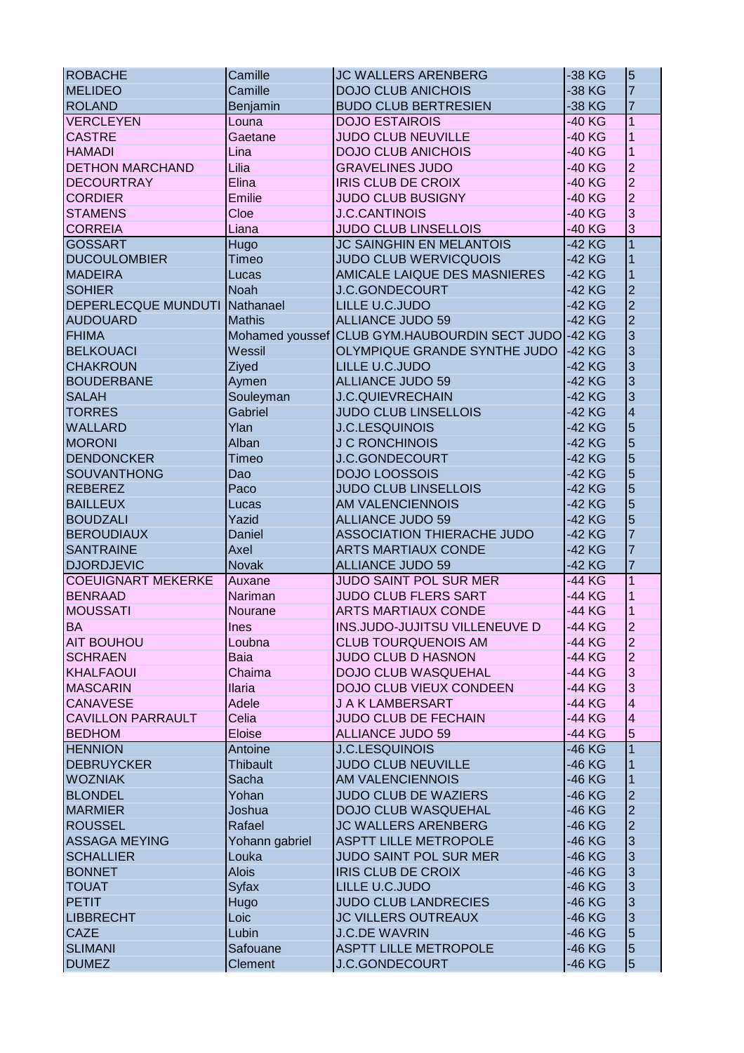| <b>ROBACHE</b>             | Camille         | <b>JC WALLERS ARENBERG</b>                    | -38 KG   | $\overline{5}$                   |
|----------------------------|-----------------|-----------------------------------------------|----------|----------------------------------|
| <b>MELIDEO</b>             | Camille         | <b>DOJO CLUB ANICHOIS</b>                     | -38 KG   | $\overline{7}$                   |
| <b>ROLAND</b>              | Benjamin        | <b>BUDO CLUB BERTRESIEN</b>                   | -38 KG   | $\overline{7}$                   |
| <b>VERCLEYEN</b>           | Louna           | <b>DOJO ESTAIROIS</b>                         | -40 KG   | 1                                |
| <b>CASTRE</b>              | Gaetane         | <b>JUDO CLUB NEUVILLE</b>                     | -40 KG   |                                  |
| <b>HAMADI</b>              | Lina            | <b>DOJO CLUB ANICHOIS</b>                     | -40 KG   |                                  |
| <b>DETHON MARCHAND</b>     | Lilia           | <b>GRAVELINES JUDO</b>                        | -40 KG   | $\overline{2}$                   |
| <b>DECOURTRAY</b>          | Elina           | <b>IRIS CLUB DE CROIX</b>                     | -40 KG   | $\overline{2}$                   |
| <b>CORDIER</b>             | Emilie          | <b>JUDO CLUB BUSIGNY</b>                      | -40 KG   | $\overline{2}$                   |
| <b>STAMENS</b>             | Cloe            | <b>J.C.CANTINOIS</b>                          | -40 KG   | 3                                |
| <b>CORREIA</b>             | Liana           | <b>JUDO CLUB LINSELLOIS</b>                   | -40 KG   | 3                                |
| <b>GOSSART</b>             | Hugo            | <b>JC SAINGHIN EN MELANTOIS</b>               | -42 KG   |                                  |
| <b>DUCOULOMBIER</b>        | Timeo           | <b>JUDO CLUB WERVICQUOIS</b>                  | -42 KG   |                                  |
| <b>MADEIRA</b>             | Lucas           | AMICALE LAIQUE DES MASNIERES                  | -42 KG   |                                  |
| <b>SOHIER</b>              | <b>Noah</b>     | <b>J.C.GONDECOURT</b>                         | -42 KG   | $\overline{2}$                   |
| <b>DEPERLECQUE MUNDUTI</b> | Nathanael       | LILLE U.C.JUDO                                | -42 KG   | $\overline{2}$                   |
|                            |                 |                                               |          | $\overline{2}$                   |
| <b>AUDOUARD</b>            | <b>Mathis</b>   | <b>ALLIANCE JUDO 59</b>                       | -42 KG   |                                  |
| <b>FHIMA</b>               |                 | Mohamed youssef CLUB GYM.HAUBOURDIN SECT JUDO | $-42$ KG | $\overline{3}$                   |
| <b>BELKOUACI</b>           | Wessil          | OLYMPIQUE GRANDE SYNTHE JUDO                  | $-42$ KG | $\overline{3}$                   |
| <b>CHAKROUN</b>            | Ziyed           | LILLE U.C.JUDO                                | -42 KG   | $\overline{3}$                   |
| <b>BOUDERBANE</b>          | Aymen           | <b>ALLIANCE JUDO 59</b>                       | -42 KG   | $\overline{3}$                   |
| <b>SALAH</b>               | Souleyman       | <b>J.C.QUIEVRECHAIN</b>                       | -42 KG   | $\overline{3}$                   |
| <b>TORRES</b>              | Gabriel         | <b>JUDO CLUB LINSELLOIS</b>                   | -42 KG   | $\overline{4}$                   |
| <b>WALLARD</b>             | Ylan            | <b>J.C.LESQUINOIS</b>                         | -42 KG   | 5                                |
| <b>MORONI</b>              | Alban           | <b>J C RONCHINOIS</b>                         | -42 KG   | 5                                |
| <b>DENDONCKER</b>          | Timeo           | <b>J.C.GONDECOURT</b>                         | -42 KG   | 5                                |
| SOUVANTHONG                | Dao             | <b>DOJO LOOSSOIS</b>                          | -42 KG   | 5                                |
| <b>REBEREZ</b>             | Paco            | <b>JUDO CLUB LINSELLOIS</b>                   | -42 KG   | 5                                |
| <b>BAILLEUX</b>            | Lucas           | <b>AM VALENCIENNOIS</b>                       | -42 KG   | 5                                |
| <b>BOUDZALI</b>            | Yazid           | <b>ALLIANCE JUDO 59</b>                       | -42 KG   | 5                                |
| <b>BEROUDIAUX</b>          | Daniel          | ASSOCIATION THIERACHE JUDO                    | -42 KG   | $\overline{7}$                   |
| <b>SANTRAINE</b>           | Axel            | <b>ARTS MARTIAUX CONDE</b>                    | -42 KG   |                                  |
| <b>DJORDJEVIC</b>          | <b>Novak</b>    | <b>ALLIANCE JUDO 59</b>                       | -42 KG   | 7                                |
| <b>COEUIGNART MEKERKE</b>  | Auxane          | JUDO SAINT POL SUR MER                        | -44 KG   | $\mathbf{1}$                     |
| <b>BENRAAD</b>             | Nariman         | <b>JUDO CLUB FLERS SART</b>                   | -44 KG   |                                  |
| <b>MOUSSATI</b>            | Nourane         | <b>ARTS MARTIAUX CONDE</b>                    | -44 KG   |                                  |
| <b>BA</b>                  | Ines            | INS.JUDO-JUJITSU VILLENEUVE D                 | -44 KG   | $\overline{c}$                   |
| <b>AIT BOUHOU</b>          | Loubna          | <b>CLUB TOURQUENOIS AM</b>                    | -44 KG   | $\overline{2}$                   |
| <b>SCHRAEN</b>             | <b>Baia</b>     | <b>JUDO CLUB D HASNON</b>                     | -44 KG   | $\overline{2}$                   |
| <b>KHALFAOUI</b>           | Chaima          | <b>DOJO CLUB WASQUEHAL</b>                    | -44 KG   | 3                                |
| <b>MASCARIN</b>            | <b>Ilaria</b>   | DOJO CLUB VIEUX CONDEEN                       | -44 KG   | 3                                |
| <b>CANAVESE</b>            | Adele           | <b>J A K LAMBERSART</b>                       | -44 KG   | 4                                |
| <b>CAVILLON PARRAULT</b>   | Celia           | JUDO CLUB DE FECHAIN                          | -44 KG   | 4                                |
| <b>BEDHOM</b>              | <b>Eloise</b>   | <b>ALLIANCE JUDO 59</b>                       | -44 KG   | 5                                |
| <b>HENNION</b>             | Antoine         | <b>J.C.LESQUINOIS</b>                         | -46 KG   |                                  |
| <b>DEBRUYCKER</b>          | <b>Thibault</b> | <b>JUDO CLUB NEUVILLE</b>                     | -46 KG   |                                  |
| <b>WOZNIAK</b>             | Sacha           | AM VALENCIENNOIS                              | -46 KG   |                                  |
| <b>BLONDEL</b>             | Yohan           | <b>JUDO CLUB DE WAZIERS</b>                   | -46 KG   |                                  |
| <b>MARMIER</b>             | Joshua          | <b>DOJO CLUB WASQUEHAL</b>                    | -46 KG   | $\overline{2}$<br>$\overline{2}$ |
|                            |                 |                                               |          | $\overline{2}$                   |
| <b>ROUSSEL</b>             | Rafael          | <b>JC WALLERS ARENBERG</b>                    | -46 KG   |                                  |
| <b>ASSAGA MEYING</b>       | Yohann gabriel  | <b>ASPTT LILLE METROPOLE</b>                  | -46 KG   | 3                                |
| <b>SCHALLIER</b>           | Louka           | <b>JUDO SAINT POL SUR MER</b>                 | -46 KG   | 3                                |
| <b>BONNET</b>              | <b>Alois</b>    | <b>IRIS CLUB DE CROIX</b>                     | -46 KG   | 3                                |
| <b>TOUAT</b>               | Syfax           | LILLE U.C.JUDO                                | -46 KG   | 3                                |
| <b>PETIT</b>               | Hugo            | <b>JUDO CLUB LANDRECIES</b>                   | -46 KG   | 3                                |
| <b>LIBBRECHT</b>           | Loic            | <b>JC VILLERS OUTREAUX</b>                    | -46 KG   | 3                                |
| <b>CAZE</b>                | Lubin           | <b>J.C.DE WAVRIN</b>                          | -46 KG   | 5                                |
| <b>SLIMANI</b>             | Safouane        | <b>ASPTT LILLE METROPOLE</b>                  | -46 KG   | $\overline{5}$                   |
| <b>DUMEZ</b>               | Clement         | <b>J.C.GONDECOURT</b>                         | -46 KG   | 5                                |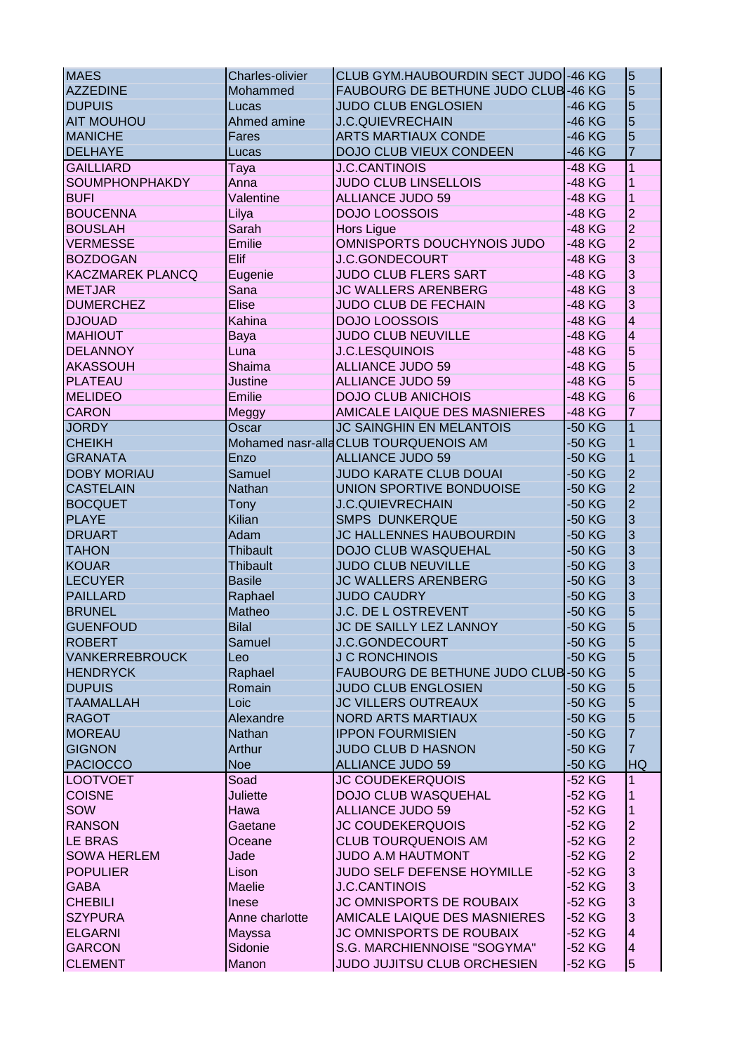| <b>MAES</b>             | <b>Charles-olivier</b> | CLUB GYM.HAUBOURDIN SECT JUDO -46 KG  |          | $\overline{5}$ |
|-------------------------|------------------------|---------------------------------------|----------|----------------|
| <b>AZZEDINE</b>         | Mohammed               | FAUBOURG DE BETHUNE JUDO CLUB-46 KG   |          | 5              |
| <b>DUPUIS</b>           | Lucas                  | <b>JUDO CLUB ENGLOSIEN</b>            | -46 KG   | 5              |
| <b>AIT MOUHOU</b>       | Ahmed amine            | <b>J.C.QUIEVRECHAIN</b>               | -46 KG   | 5              |
| <b>MANICHE</b>          | Fares                  | <b>ARTS MARTIAUX CONDE</b>            | -46 KG   | 5              |
| <b>DELHAYE</b>          |                        | DOJO CLUB VIEUX CONDEEN               | -46 KG   | 7              |
|                         | Lucas                  |                                       |          | $\mathbf{1}$   |
| <b>GAILLIARD</b>        | Taya                   | <b>J.C.CANTINOIS</b>                  | -48 KG   |                |
| SOUMPHONPHAKDY          | Anna                   | <b>JUDO CLUB LINSELLOIS</b>           | -48 KG   | 1              |
| <b>BUFI</b>             | Valentine              | <b>ALLIANCE JUDO 59</b>               | -48 KG   | $\mathbf{1}$   |
| <b>BOUCENNA</b>         | Lilya                  | <b>DOJO LOOSSOIS</b>                  | -48 KG   | $\overline{c}$ |
| <b>BOUSLAH</b>          | Sarah                  | <b>Hors Ligue</b>                     | -48 KG   | $\overline{2}$ |
| <b>VERMESSE</b>         | Emilie                 | OMNISPORTS DOUCHYNOIS JUDO            | -48 KG   | $\overline{2}$ |
| <b>BOZDOGAN</b>         | Elif                   | <b>J.C.GONDECOURT</b>                 | -48 KG   | 3              |
| <b>KACZMAREK PLANCQ</b> | Eugenie                | <b>JUDO CLUB FLERS SART</b>           | -48 KG   | 3              |
| <b>METJAR</b>           | Sana                   | <b>JC WALLERS ARENBERG</b>            | -48 KG   | 3              |
| <b>DUMERCHEZ</b>        | <b>Elise</b>           | <b>JUDO CLUB DE FECHAIN</b>           | -48 KG   | 3              |
| <b>DJOUAD</b>           | Kahina                 | <b>DOJO LOOSSOIS</b>                  | -48 KG   | $\overline{4}$ |
| <b>MAHIOUT</b>          | Baya                   | <b>JUDO CLUB NEUVILLE</b>             | -48 KG   | $\overline{4}$ |
| <b>DELANNOY</b>         | Luna                   | <b>J.C.LESQUINOIS</b>                 | -48 KG   | 5              |
| <b>AKASSOUH</b>         | <b>Shaima</b>          | <b>ALLIANCE JUDO 59</b>               | -48 KG   | 5              |
| <b>PLATEAU</b>          | Justine                | <b>ALLIANCE JUDO 59</b>               | -48 KG   | 5              |
| <b>MELIDEO</b>          | <b>Emilie</b>          | <b>DOJO CLUB ANICHOIS</b>             | -48 KG   | 6              |
| <b>CARON</b>            | Meggy                  | AMICALE LAIQUE DES MASNIERES          | -48 KG   | 7              |
| <b>JORDY</b>            | Oscar                  | <b>JC SAINGHIN EN MELANTOIS</b>       | -50 KG   | $\mathbf{1}$   |
| <b>CHEIKH</b>           |                        | Mohamed nasr-alla CLUB TOURQUENOIS AM | -50 KG   | 1              |
| <b>GRANATA</b>          | Enzo                   | <b>ALLIANCE JUDO 59</b>               | -50 KG   | 1              |
| <b>DOBY MORIAU</b>      | Samuel                 | <b>JUDO KARATE CLUB DOUAI</b>         | -50 KG   | $\overline{2}$ |
| <b>CASTELAIN</b>        | <b>Nathan</b>          | UNION SPORTIVE BONDUOISE              | -50 KG   | $\overline{2}$ |
| <b>BOCQUET</b>          |                        | <b>J.C.QUIEVRECHAIN</b>               |          | $\overline{2}$ |
|                         | Tony                   |                                       | -50 KG   |                |
| <b>PLAYE</b>            | Kilian                 | <b>SMPS DUNKERQUE</b>                 | -50 KG   | 3              |
| <b>DRUART</b>           | Adam                   | <b>JC HALLENNES HAUBOURDIN</b>        | -50 KG   | 3              |
| <b>TAHON</b>            | <b>Thibault</b>        | <b>DOJO CLUB WASQUEHAL</b>            | -50 KG   | 3              |
| <b>KOUAR</b>            | <b>Thibault</b>        | <b>JUDO CLUB NEUVILLE</b>             | -50 KG   | 3              |
| <b>LECUYER</b>          | <b>Basile</b>          | <b>JC WALLERS ARENBERG</b>            | -50 KG   | 3              |
| <b>PAILLARD</b>         | Raphael                | <b>JUDO CAUDRY</b>                    | -50 KG   | 3              |
| <b>BRUNEL</b>           | Matheo                 | J.C. DE L OSTREVENT                   | -50 KG   | 5              |
| <b>GUENFOUD</b>         | <b>Bilal</b>           | JC DE SAILLY LEZ LANNOY               | -50 KG   | 5              |
| <b>ROBERT</b>           | Samuel                 | <b>J.C.GONDECOURT</b>                 | -50 KG   | $\sqrt{5}$     |
| <b>VANKERREBROUCK</b>   | Leo                    | <b>J C RONCHINOIS</b>                 | -50 KG   | $\overline{5}$ |
| <b>HENDRYCK</b>         | Raphael                | FAUBOURG DE BETHUNE JUDO CLUB-50 KG   |          | 5              |
| <b>DUPUIS</b>           | Romain                 | <b>JUDO CLUB ENGLOSIEN</b>            | $-50$ KG | 5              |
| <b>TAAMALLAH</b>        | Loic                   | <b>JC VILLERS OUTREAUX</b>            | -50 KG   | 5              |
| <b>RAGOT</b>            | Alexandre              | NORD ARTS MARTIAUX                    | -50 KG   | 5              |
| <b>MOREAU</b>           | Nathan                 | <b>IPPON FOURMISIEN</b>               | -50 KG   | 7              |
| <b>GIGNON</b>           | Arthur                 | <b>JUDO CLUB D HASNON</b>             | -50 KG   | 7              |
| <b>PACIOCCO</b>         | <b>Noe</b>             | <b>ALLIANCE JUDO 59</b>               | -50 KG   | HQ             |
| <b>LOOTVOET</b>         | Soad                   | <b>JC COUDEKERQUOIS</b>               | -52 KG   | 1              |
| <b>COISNE</b>           | <b>Juliette</b>        | <b>DOJO CLUB WASQUEHAL</b>            | -52 KG   |                |
| SOW                     | Hawa                   | <b>ALLIANCE JUDO 59</b>               | -52 KG   |                |
| <b>RANSON</b>           | Gaetane                | <b>JC COUDEKERQUOIS</b>               | -52 KG   | $\overline{c}$ |
| <b>LE BRAS</b>          | Oceane                 | <b>CLUB TOURQUENOIS AM</b>            | -52 KG   | $\overline{c}$ |
| <b>SOWA HERLEM</b>      | Jade                   | <b>JUDO A.M HAUTMONT</b>              | -52 KG   | $\overline{c}$ |
| <b>POPULIER</b>         | Lison                  | JUDO SELF DEFENSE HOYMILLE            | -52 KG   | 3              |
| <b>GABA</b>             |                        | <b>J.C.CANTINOIS</b>                  |          | 3              |
|                         | Maelie                 |                                       | -52 KG   |                |
| <b>CHEBILI</b>          | <b>Inese</b>           | JC OMNISPORTS DE ROUBAIX              | -52 KG   | 3              |
| <b>SZYPURA</b>          | Anne charlotte         | AMICALE LAIQUE DES MASNIERES          | -52 KG   | 3              |
| <b>ELGARNI</b>          | Mayssa                 | JC OMNISPORTS DE ROUBAIX              | -52 KG   | 4              |
| <b>GARCON</b>           | Sidonie                | S.G. MARCHIENNOISE "SOGYMA"           | -52 KG   | 4              |
| <b>CLEMENT</b>          | Manon                  | JUDO JUJITSU CLUB ORCHESIEN           | -52 KG   | 5              |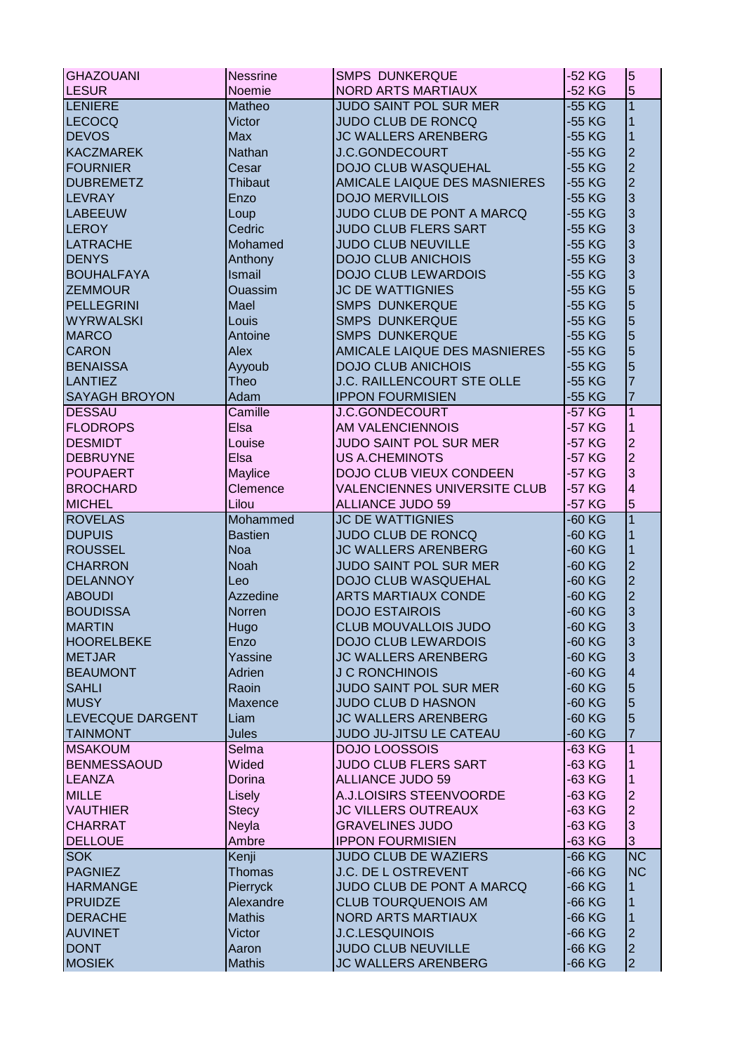| <b>GHAZOUANI</b>        | <b>Nessrine</b> | <b>SMPS DUNKERQUE</b>               | -52 KG   | $\overline{5}$          |
|-------------------------|-----------------|-------------------------------------|----------|-------------------------|
| <b>LESUR</b>            | Noemie          | NORD ARTS MARTIAUX                  | $-52$ KG | 5                       |
| <b>LENIERE</b>          | Matheo          | <b>JUDO SAINT POL SUR MER</b>       | -55 KG   | $\overline{1}$          |
| LECOCQ                  | Victor          | <b>JUDO CLUB DE RONCQ</b>           | -55 KG   | 1                       |
| <b>DEVOS</b>            | <b>Max</b>      | JC WALLERS ARENBERG                 | $-55$ KG | $\mathbf{1}$            |
| <b>KACZMAREK</b>        | Nathan          | <b>J.C.GONDECOURT</b>               | $-55$ KG | $\overline{2}$          |
| <b>FOURNIER</b>         | Cesar           | <b>DOJO CLUB WASQUEHAL</b>          | -55 KG   |                         |
| <b>DUBREMETZ</b>        | <b>Thibaut</b>  | AMICALE LAIQUE DES MASNIERES        | -55 KG   | $\frac{2}{2}$           |
| LEVRAY                  | Enzo            | <b>DOJO MERVILLOIS</b>              | -55 KG   | 3                       |
| <b>LABEEUW</b>          | Loup            | JUDO CLUB DE PONT A MARCQ           | -55 KG   | 3                       |
| LEROY                   | Cedric          | <b>JUDO CLUB FLERS SART</b>         | -55 KG   | 3                       |
| <b>LATRACHE</b>         | Mohamed         | <b>JUDO CLUB NEUVILLE</b>           | -55 KG   | 3                       |
| <b>DENYS</b>            | Anthony         | <b>DOJO CLUB ANICHOIS</b>           | -55 KG   | 3                       |
| <b>BOUHALFAYA</b>       | Ismail          | <b>DOJO CLUB LEWARDOIS</b>          | -55 KG   | 3                       |
| <b>ZEMMOUR</b>          | <b>Ouassim</b>  | <b>JC DE WATTIGNIES</b>             | -55 KG   | 5                       |
| <b>PELLEGRINI</b>       | Mael            | <b>SMPS DUNKERQUE</b>               | -55 KG   | 5                       |
| <b>WYRWALSKI</b>        |                 | <b>SMPS DUNKERQUE</b>               | -55 KG   | 5                       |
|                         | Louis           |                                     |          |                         |
| <b>MARCO</b>            | Antoine         | <b>SMPS DUNKERQUE</b>               | -55 KG   | 5                       |
| <b>CARON</b>            | Alex            | AMICALE LAIQUE DES MASNIERES        | -55 KG   | 5                       |
| <b>BENAISSA</b>         | Ayyoub          | <b>DOJO CLUB ANICHOIS</b>           | -55 KG   | 5                       |
| <b>LANTIEZ</b>          | Theo            | J.C. RAILLENCOURT STE OLLE          | -55 KG   | $\overline{7}$          |
| <b>SAYAGH BROYON</b>    | Adam            | <b>IPPON FOURMISIEN</b>             | -55 KG   | $\overline{7}$          |
| <b>DESSAU</b>           | Camille         | <b>J.C.GONDECOURT</b>               | -57 KG   | $\mathbf{1}$            |
| <b>FLODROPS</b>         | Elsa            | AM VALENCIENNOIS                    | -57 KG   | 1                       |
| <b>DESMIDT</b>          | Louise          | <b>JUDO SAINT POL SUR MER</b>       | -57 KG   | $\overline{c}$          |
| <b>DEBRUYNE</b>         | Elsa            | <b>US A.CHEMINOTS</b>               | -57 KG   | $\overline{a}$          |
| <b>POUPAERT</b>         | Maylice         | DOJO CLUB VIEUX CONDEEN             | -57 KG   | 3                       |
| <b>BROCHARD</b>         | Clemence        | <b>VALENCIENNES UNIVERSITE CLUB</b> | -57 KG   | $\overline{\mathbf{4}}$ |
| <b>MICHEL</b>           | Lilou           | <b>ALLIANCE JUDO 59</b>             | -57 KG   | $\overline{5}$          |
| <b>ROVELAS</b>          | Mohammed        | <b>JC DE WATTIGNIES</b>             | -60 KG   | $\overline{1}$          |
| <b>DUPUIS</b>           | <b>Bastien</b>  | <b>JUDO CLUB DE RONCQ</b>           | -60 KG   | 1                       |
| <b>ROUSSEL</b>          | <b>Noa</b>      | <b>JC WALLERS ARENBERG</b>          | $-60$ KG | $\mathbf{1}$            |
| <b>CHARRON</b>          | <b>Noah</b>     | JUDO SAINT POL SUR MER              | -60 KG   | $\frac{2}{2}$           |
| <b>DELANNOY</b>         | Leo             | <b>DOJO CLUB WASQUEHAL</b>          | -60 KG   |                         |
| <b>ABOUDI</b>           | Azzedine        | <b>ARTS MARTIAUX CONDE</b>          | -60 KG   | $\overline{2}$          |
| <b>BOUDISSA</b>         | Norren          | <b>DOJO ESTAIROIS</b>               | -60 KG   | 3                       |
| <b>MARTIN</b>           | Hugo            | CLUB MOUVALLOIS JUDO                | -60 KG   | <sub>3</sub>            |
| <b>HOORELBEKE</b>       | Enzo            | <b>DOJO CLUB LEWARDOIS</b>          | -60 KG   | $\overline{3}$          |
| <b>METJAR</b>           | Yassine         | <b>JC WALLERS ARENBERG</b>          | -60 KG   | $\overline{3}$          |
| <b>BEAUMONT</b>         | Adrien          | <b>J C RONCHINOIS</b>               | -60 KG   | $\overline{4}$          |
| <b>SAHLI</b>            | Raoin           | JUDO SAINT POL SUR MER              | -60 KG   | 5                       |
| <b>MUSY</b>             | <b>Maxence</b>  | <b>JUDO CLUB D HASNON</b>           | -60 KG   | 5                       |
| <b>LEVECQUE DARGENT</b> | Liam            | <b>JC WALLERS ARENBERG</b>          | -60 KG   | 5                       |
| <b>TAINMONT</b>         | <b>Jules</b>    | JUDO JU-JITSU LE CATEAU             | -60 KG   | 7                       |
| <b>MSAKOUM</b>          | Selma           | <b>DOJO LOOSSOIS</b>                | -63 KG   | 1                       |
| <b>BENMESSAOUD</b>      | Wided           | <b>JUDO CLUB FLERS SART</b>         | -63 KG   | 1                       |
| LEANZA                  | Dorina          | <b>ALLIANCE JUDO 59</b>             | -63 KG   | 1                       |
| <b>MILLE</b>            | Lisely          | A.J.LOISIRS STEENVOORDE             | -63 KG   | $\overline{c}$          |
| <b>VAUTHIER</b>         | <b>Stecy</b>    | <b>JC VILLERS OUTREAUX</b>          | -63 KG   | $\overline{2}$          |
| <b>CHARRAT</b>          | <b>Neyla</b>    | <b>GRAVELINES JUDO</b>              | -63 KG   | 3                       |
| <b>DELLOUE</b>          | Ambre           | <b>IPPON FOURMISIEN</b>             | -63 KG   | 3                       |
| <b>SOK</b>              | Kenji           | <b>JUDO CLUB DE WAZIERS</b>         | -66 KG   | $\overline{\text{NC}}$  |
| <b>PAGNIEZ</b>          | <b>Thomas</b>   | J.C. DE L OSTREVENT                 | -66 KG   | <b>NC</b>               |
| <b>HARMANGE</b>         | <b>Pierryck</b> | JUDO CLUB DE PONT A MARCQ           | -66 KG   | 1                       |
| <b>PRUIDZE</b>          | Alexandre       | <b>CLUB TOURQUENOIS AM</b>          | -66 KG   | 1                       |
| <b>DERACHE</b>          | <b>Mathis</b>   | <b>NORD ARTS MARTIAUX</b>           | -66 KG   | 1                       |
| <b>AUVINET</b>          | Victor          | <b>J.C.LESQUINOIS</b>               | -66 KG   | $\mathbf{2}$            |
| <b>DONT</b>             |                 | <b>JUDO CLUB NEUVILLE</b>           |          | $\overline{2}$          |
|                         | Aaron           |                                     | -66 KG   | $\overline{2}$          |
| <b>MOSIEK</b>           | <b>Mathis</b>   | <b>JC WALLERS ARENBERG</b>          | -66 KG   |                         |